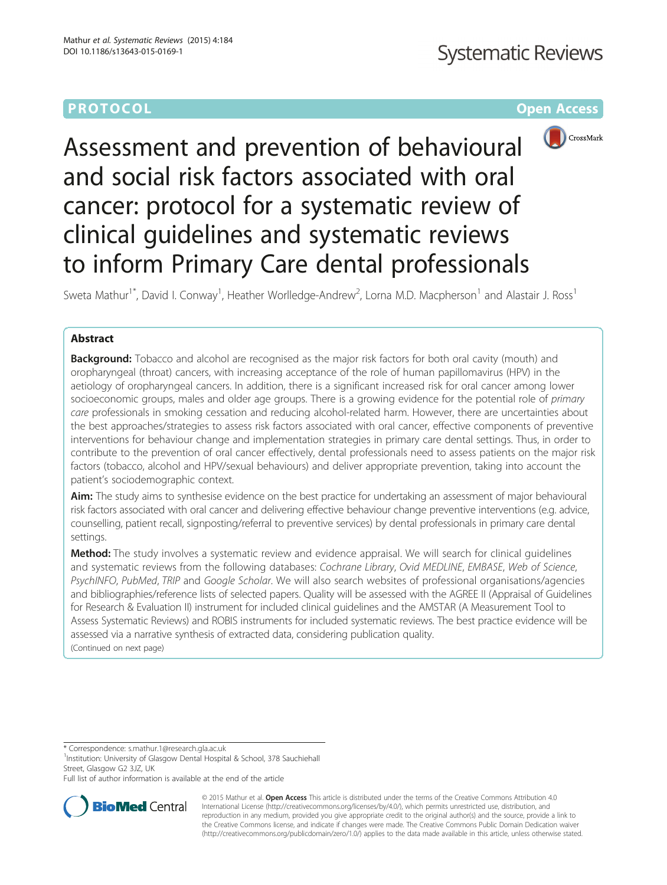# **PROTOCOL CONSUMING THE OPEN ACCESS**



Assessment and prevention of behavioural and social risk factors associated with oral cancer: protocol for a systematic review of clinical guidelines and systematic reviews to inform Primary Care dental professionals

Sweta Mathur<sup>1\*</sup>, David I. Conway<sup>1</sup>, Heather Worlledge-Andrew<sup>2</sup>, Lorna M.D. Macpherson<sup>1</sup> and Alastair J. Ross<sup>1</sup>

# Abstract

**Background:** Tobacco and alcohol are recognised as the major risk factors for both oral cavity (mouth) and oropharyngeal (throat) cancers, with increasing acceptance of the role of human papillomavirus (HPV) in the aetiology of oropharyngeal cancers. In addition, there is a significant increased risk for oral cancer among lower socioeconomic groups, males and older age groups. There is a growing evidence for the potential role of primary care professionals in smoking cessation and reducing alcohol-related harm. However, there are uncertainties about the best approaches/strategies to assess risk factors associated with oral cancer, effective components of preventive interventions for behaviour change and implementation strategies in primary care dental settings. Thus, in order to contribute to the prevention of oral cancer effectively, dental professionals need to assess patients on the major risk factors (tobacco, alcohol and HPV/sexual behaviours) and deliver appropriate prevention, taking into account the patient's sociodemographic context.

Aim: The study aims to synthesise evidence on the best practice for undertaking an assessment of major behavioural risk factors associated with oral cancer and delivering effective behaviour change preventive interventions (e.g. advice, counselling, patient recall, signposting/referral to preventive services) by dental professionals in primary care dental settings.

Method: The study involves a systematic review and evidence appraisal. We will search for clinical quidelines and systematic reviews from the following databases: Cochrane Library, Ovid MEDLINE, EMBASE, Web of Science, PsychINFO, PubMed, TRIP and Google Scholar. We will also search websites of professional organisations/agencies and bibliographies/reference lists of selected papers. Quality will be assessed with the AGREE II (Appraisal of Guidelines for Research & Evaluation II) instrument for included clinical guidelines and the AMSTAR (A Measurement Tool to Assess Systematic Reviews) and ROBIS instruments for included systematic reviews. The best practice evidence will be assessed via a narrative synthesis of extracted data, considering publication quality. (Continued on next page)

\* Correspondence: [s.mathur.1@research.gla.ac.uk](mailto:s.mathur.1@research.gla.ac.uk) <sup>1</sup>

<sup>1</sup>Institution: University of Glasgow Dental Hospital & School, 378 Sauchiehall Street, Glasgow G2 3JZ, UK

Full list of author information is available at the end of the article



© 2015 Mathur et al. Open Access This article is distributed under the terms of the Creative Commons Attribution 4.0 International License [\(http://creativecommons.org/licenses/by/4.0/](http://creativecommons.org/licenses/by/4.0/)), which permits unrestricted use, distribution, and reproduction in any medium, provided you give appropriate credit to the original author(s) and the source, provide a link to the Creative Commons license, and indicate if changes were made. The Creative Commons Public Domain Dedication waiver [\(http://creativecommons.org/publicdomain/zero/1.0/](http://creativecommons.org/publicdomain/zero/1.0/)) applies to the data made available in this article, unless otherwise stated.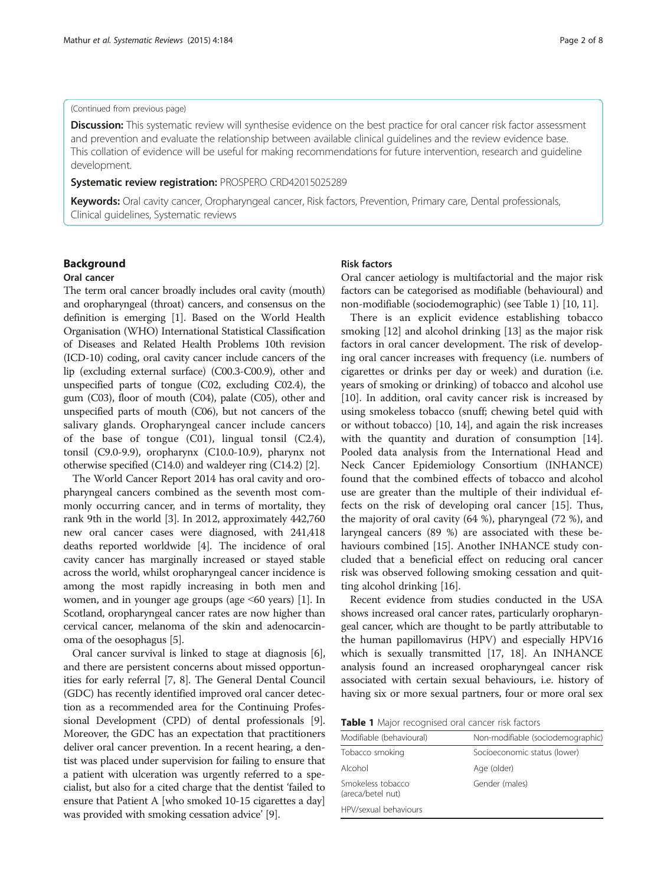#### (Continued from previous page)

Discussion: This systematic review will synthesise evidence on the best practice for oral cancer risk factor assessment and prevention and evaluate the relationship between available clinical guidelines and the review evidence base. This collation of evidence will be useful for making recommendations for future intervention, research and guideline development.

#### Systematic review registration: PROSPERO [CRD42015025289](http://www.crd.york.ac.uk/PROSPERO/display_record.asp?ID=CRD42015025289)

Keywords: Oral cavity cancer, Oropharyngeal cancer, Risk factors, Prevention, Primary care, Dental professionals, Clinical guidelines, Systematic reviews

## Background

#### Oral cancer

The term oral cancer broadly includes oral cavity (mouth) and oropharyngeal (throat) cancers, and consensus on the definition is emerging [\[1\]](#page-6-0). Based on the World Health Organisation (WHO) International Statistical Classification of Diseases and Related Health Problems 10th revision (ICD-10) coding, oral cavity cancer include cancers of the lip (excluding external surface) (C00.3-C00.9), other and unspecified parts of tongue (C02, excluding C02.4), the gum (C03), floor of mouth (C04), palate (C05), other and unspecified parts of mouth (C06), but not cancers of the salivary glands. Oropharyngeal cancer include cancers of the base of tongue (C01), lingual tonsil (C2.4), tonsil (C9.0-9.9), oropharynx (C10.0-10.9), pharynx not otherwise specified (C14.0) and waldeyer ring (C14.2) [[2\]](#page-6-0).

The World Cancer Report 2014 has oral cavity and oropharyngeal cancers combined as the seventh most commonly occurring cancer, and in terms of mortality, they rank 9th in the world [\[3](#page-6-0)]. In 2012, approximately 442,760 new oral cancer cases were diagnosed, with 241,418 deaths reported worldwide [\[4](#page-6-0)]. The incidence of oral cavity cancer has marginally increased or stayed stable across the world, whilst oropharyngeal cancer incidence is among the most rapidly increasing in both men and women, and in younger age groups (age ˂60 years) [[1\]](#page-6-0). In Scotland, oropharyngeal cancer rates are now higher than cervical cancer, melanoma of the skin and adenocarcinoma of the oesophagus [\[5](#page-6-0)].

Oral cancer survival is linked to stage at diagnosis [[6](#page-6-0)], and there are persistent concerns about missed opportunities for early referral [[7, 8](#page-6-0)]. The General Dental Council (GDC) has recently identified improved oral cancer detection as a recommended area for the Continuing Professional Development (CPD) of dental professionals [[9](#page-6-0)]. Moreover, the GDC has an expectation that practitioners deliver oral cancer prevention. In a recent hearing, a dentist was placed under supervision for failing to ensure that a patient with ulceration was urgently referred to a specialist, but also for a cited charge that the dentist 'failed to ensure that Patient A [who smoked 10-15 cigarettes a day] was provided with smoking cessation advice' [\[9](#page-6-0)].

#### Risk factors

Oral cancer aetiology is multifactorial and the major risk factors can be categorised as modifiable (behavioural) and non-modifiable (sociodemographic) (see Table 1) [\[10](#page-6-0), [11](#page-6-0)].

There is an explicit evidence establishing tobacco smoking [[12](#page-6-0)] and alcohol drinking [\[13](#page-6-0)] as the major risk factors in oral cancer development. The risk of developing oral cancer increases with frequency (i.e. numbers of cigarettes or drinks per day or week) and duration (i.e. years of smoking or drinking) of tobacco and alcohol use [[10\]](#page-6-0). In addition, oral cavity cancer risk is increased by using smokeless tobacco (snuff; chewing betel quid with or without tobacco) [\[10, 14\]](#page-6-0), and again the risk increases with the quantity and duration of consumption [\[14](#page-6-0)]. Pooled data analysis from the International Head and Neck Cancer Epidemiology Consortium (INHANCE) found that the combined effects of tobacco and alcohol use are greater than the multiple of their individual effects on the risk of developing oral cancer [[15\]](#page-7-0). Thus, the majority of oral cavity (64 %), pharyngeal (72 %), and laryngeal cancers (89 %) are associated with these behaviours combined [[15\]](#page-7-0). Another INHANCE study concluded that a beneficial effect on reducing oral cancer risk was observed following smoking cessation and quitting alcohol drinking [\[16](#page-7-0)].

Recent evidence from studies conducted in the USA shows increased oral cancer rates, particularly oropharyngeal cancer, which are thought to be partly attributable to the human papillomavirus (HPV) and especially HPV16 which is sexually transmitted [\[17, 18](#page-7-0)]. An INHANCE analysis found an increased oropharyngeal cancer risk associated with certain sexual behaviours, i.e. history of having six or more sexual partners, four or more oral sex

Table 1 Major recognised oral cancer risk factors

| Modifiable (behavioural)               | Non-modifiable (sociodemographic) |
|----------------------------------------|-----------------------------------|
| Tobacco smoking                        | Socioeconomic status (lower)      |
| Alcohol                                | Age (older)                       |
| Smokeless tobacco<br>(areca/betel nut) | Gender (males)                    |
| HPV/sexual behaviours                  |                                   |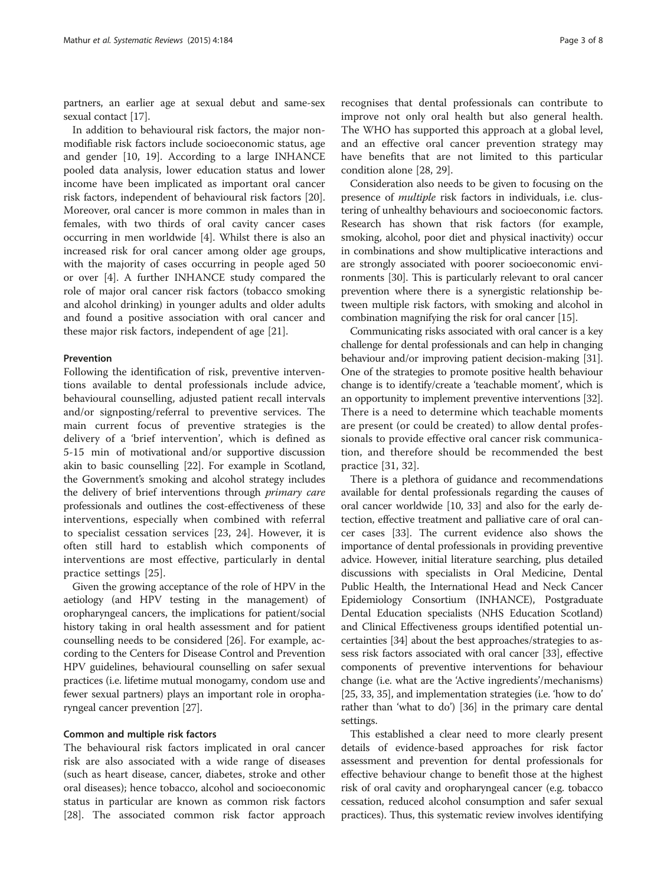partners, an earlier age at sexual debut and same-sex sexual contact [\[17\]](#page-7-0).

In addition to behavioural risk factors, the major nonmodifiable risk factors include socioeconomic status, age and gender [[10,](#page-6-0) [19\]](#page-7-0). According to a large INHANCE pooled data analysis, lower education status and lower income have been implicated as important oral cancer risk factors, independent of behavioural risk factors [\[20](#page-7-0)]. Moreover, oral cancer is more common in males than in females, with two thirds of oral cavity cancer cases occurring in men worldwide [[4\]](#page-6-0). Whilst there is also an increased risk for oral cancer among older age groups, with the majority of cases occurring in people aged 50 or over [[4\]](#page-6-0). A further INHANCE study compared the role of major oral cancer risk factors (tobacco smoking and alcohol drinking) in younger adults and older adults and found a positive association with oral cancer and these major risk factors, independent of age [\[21](#page-7-0)].

#### **Prevention**

Following the identification of risk, preventive interventions available to dental professionals include advice, behavioural counselling, adjusted patient recall intervals and/or signposting/referral to preventive services. The main current focus of preventive strategies is the delivery of a 'brief intervention', which is defined as 5-15 min of motivational and/or supportive discussion akin to basic counselling [\[22\]](#page-7-0). For example in Scotland, the Government's smoking and alcohol strategy includes the delivery of brief interventions through primary care professionals and outlines the cost-effectiveness of these interventions, especially when combined with referral to specialist cessation services [\[23](#page-7-0), [24\]](#page-7-0). However, it is often still hard to establish which components of interventions are most effective, particularly in dental practice settings [\[25](#page-7-0)].

Given the growing acceptance of the role of HPV in the aetiology (and HPV testing in the management) of oropharyngeal cancers, the implications for patient/social history taking in oral health assessment and for patient counselling needs to be considered [[26\]](#page-7-0). For example, according to the Centers for Disease Control and Prevention HPV guidelines, behavioural counselling on safer sexual practices (i.e. lifetime mutual monogamy, condom use and fewer sexual partners) plays an important role in oropharyngeal cancer prevention [[27](#page-7-0)].

#### Common and multiple risk factors

The behavioural risk factors implicated in oral cancer risk are also associated with a wide range of diseases (such as heart disease, cancer, diabetes, stroke and other oral diseases); hence tobacco, alcohol and socioeconomic status in particular are known as common risk factors [[28\]](#page-7-0). The associated common risk factor approach

recognises that dental professionals can contribute to improve not only oral health but also general health. The WHO has supported this approach at a global level, and an effective oral cancer prevention strategy may have benefits that are not limited to this particular condition alone [[28](#page-7-0), [29](#page-7-0)].

Consideration also needs to be given to focusing on the presence of multiple risk factors in individuals, i.e. clustering of unhealthy behaviours and socioeconomic factors. Research has shown that risk factors (for example, smoking, alcohol, poor diet and physical inactivity) occur in combinations and show multiplicative interactions and are strongly associated with poorer socioeconomic environments [[30](#page-7-0)]. This is particularly relevant to oral cancer prevention where there is a synergistic relationship between multiple risk factors, with smoking and alcohol in combination magnifying the risk for oral cancer [\[15\]](#page-7-0).

Communicating risks associated with oral cancer is a key challenge for dental professionals and can help in changing behaviour and/or improving patient decision-making [\[31](#page-7-0)]. One of the strategies to promote positive health behaviour change is to identify/create a 'teachable moment', which is an opportunity to implement preventive interventions [\[32](#page-7-0)]. There is a need to determine which teachable moments are present (or could be created) to allow dental professionals to provide effective oral cancer risk communication, and therefore should be recommended the best practice [[31, 32](#page-7-0)].

There is a plethora of guidance and recommendations available for dental professionals regarding the causes of oral cancer worldwide [\[10,](#page-6-0) [33](#page-7-0)] and also for the early detection, effective treatment and palliative care of oral cancer cases [\[33\]](#page-7-0). The current evidence also shows the importance of dental professionals in providing preventive advice. However, initial literature searching, plus detailed discussions with specialists in Oral Medicine, Dental Public Health, the International Head and Neck Cancer Epidemiology Consortium (INHANCE), Postgraduate Dental Education specialists (NHS Education Scotland) and Clinical Effectiveness groups identified potential uncertainties [[34](#page-7-0)] about the best approaches/strategies to assess risk factors associated with oral cancer [[33](#page-7-0)], effective components of preventive interventions for behaviour change (i.e. what are the 'Active ingredients'/mechanisms) [[25](#page-7-0), [33, 35](#page-7-0)], and implementation strategies (i.e. 'how to do' rather than 'what to do') [[36](#page-7-0)] in the primary care dental settings.

This established a clear need to more clearly present details of evidence-based approaches for risk factor assessment and prevention for dental professionals for effective behaviour change to benefit those at the highest risk of oral cavity and oropharyngeal cancer (e.g. tobacco cessation, reduced alcohol consumption and safer sexual practices). Thus, this systematic review involves identifying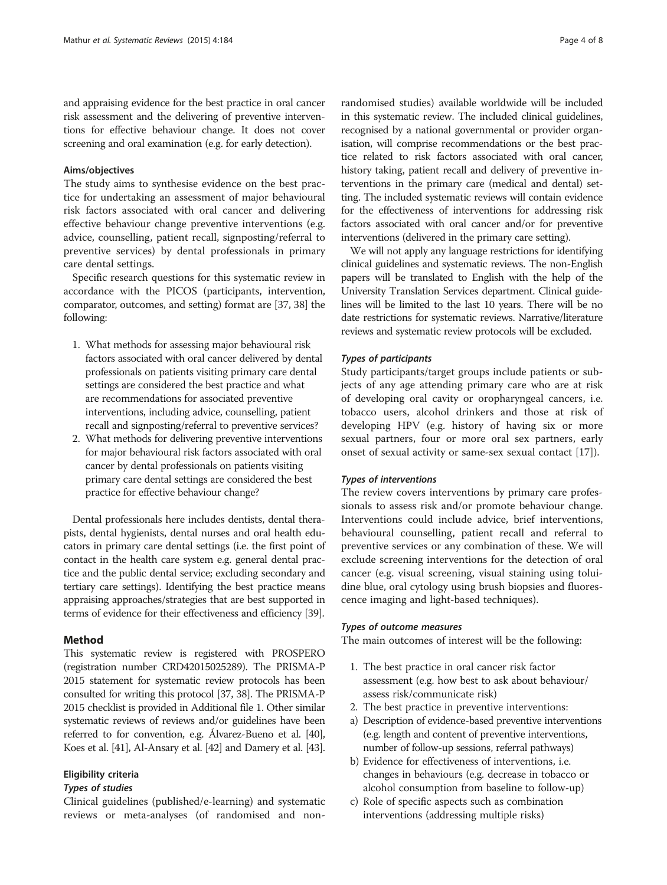and appraising evidence for the best practice in oral cancer risk assessment and the delivering of preventive interventions for effective behaviour change. It does not cover screening and oral examination (e.g. for early detection).

#### Aims/objectives

The study aims to synthesise evidence on the best practice for undertaking an assessment of major behavioural risk factors associated with oral cancer and delivering effective behaviour change preventive interventions (e.g. advice, counselling, patient recall, signposting/referral to preventive services) by dental professionals in primary care dental settings.

Specific research questions for this systematic review in accordance with the PICOS (participants, intervention, comparator, outcomes, and setting) format are [\[37, 38](#page-7-0)] the following:

- 1. What methods for assessing major behavioural risk factors associated with oral cancer delivered by dental professionals on patients visiting primary care dental settings are considered the best practice and what are recommendations for associated preventive interventions, including advice, counselling, patient recall and signposting/referral to preventive services?
- 2. What methods for delivering preventive interventions for major behavioural risk factors associated with oral cancer by dental professionals on patients visiting primary care dental settings are considered the best practice for effective behaviour change?

Dental professionals here includes dentists, dental therapists, dental hygienists, dental nurses and oral health educators in primary care dental settings (i.e. the first point of contact in the health care system e.g. general dental practice and the public dental service; excluding secondary and tertiary care settings). Identifying the best practice means appraising approaches/strategies that are best supported in terms of evidence for their effectiveness and efficiency [\[39\]](#page-7-0).

#### Method

This systematic review is registered with PROSPERO (registration number CRD42015025289). The PRISMA-P 2015 statement for systematic review protocols has been consulted for writing this protocol [\[37](#page-7-0), [38\]](#page-7-0). The PRISMA-P 2015 checklist is provided in Additional file [1](#page-6-0). Other similar systematic reviews of reviews and/or guidelines have been referred to for convention, e.g. Álvarez-Bueno et al. [\[40](#page-7-0)], Koes et al. [\[41\]](#page-7-0), Al-Ansary et al. [\[42\]](#page-7-0) and Damery et al. [\[43](#page-7-0)].

## Eligibility criteria

## Types of studies

Clinical guidelines (published/e-learning) and systematic reviews or meta-analyses (of randomised and non-

randomised studies) available worldwide will be included in this systematic review. The included clinical guidelines, recognised by a national governmental or provider organisation, will comprise recommendations or the best practice related to risk factors associated with oral cancer, history taking, patient recall and delivery of preventive interventions in the primary care (medical and dental) setting. The included systematic reviews will contain evidence for the effectiveness of interventions for addressing risk factors associated with oral cancer and/or for preventive interventions (delivered in the primary care setting).

We will not apply any language restrictions for identifying clinical guidelines and systematic reviews. The non-English papers will be translated to English with the help of the University Translation Services department. Clinical guidelines will be limited to the last 10 years. There will be no date restrictions for systematic reviews. Narrative/literature reviews and systematic review protocols will be excluded.

#### Types of participants

Study participants/target groups include patients or subjects of any age attending primary care who are at risk of developing oral cavity or oropharyngeal cancers, i.e. tobacco users, alcohol drinkers and those at risk of developing HPV (e.g. history of having six or more sexual partners, four or more oral sex partners, early onset of sexual activity or same-sex sexual contact [\[17\]](#page-7-0)).

#### Types of interventions

The review covers interventions by primary care professionals to assess risk and/or promote behaviour change. Interventions could include advice, brief interventions, behavioural counselling, patient recall and referral to preventive services or any combination of these. We will exclude screening interventions for the detection of oral cancer (e.g. visual screening, visual staining using toluidine blue, oral cytology using brush biopsies and fluorescence imaging and light-based techniques).

#### Types of outcome measures

The main outcomes of interest will be the following:

- 1. The best practice in oral cancer risk factor assessment (e.g. how best to ask about behaviour/ assess risk/communicate risk)
- 2. The best practice in preventive interventions:
- a) Description of evidence-based preventive interventions (e.g. length and content of preventive interventions, number of follow-up sessions, referral pathways)
- b) Evidence for effectiveness of interventions, i.e. changes in behaviours (e.g. decrease in tobacco or alcohol consumption from baseline to follow-up)
- Role of specific aspects such as combination interventions (addressing multiple risks)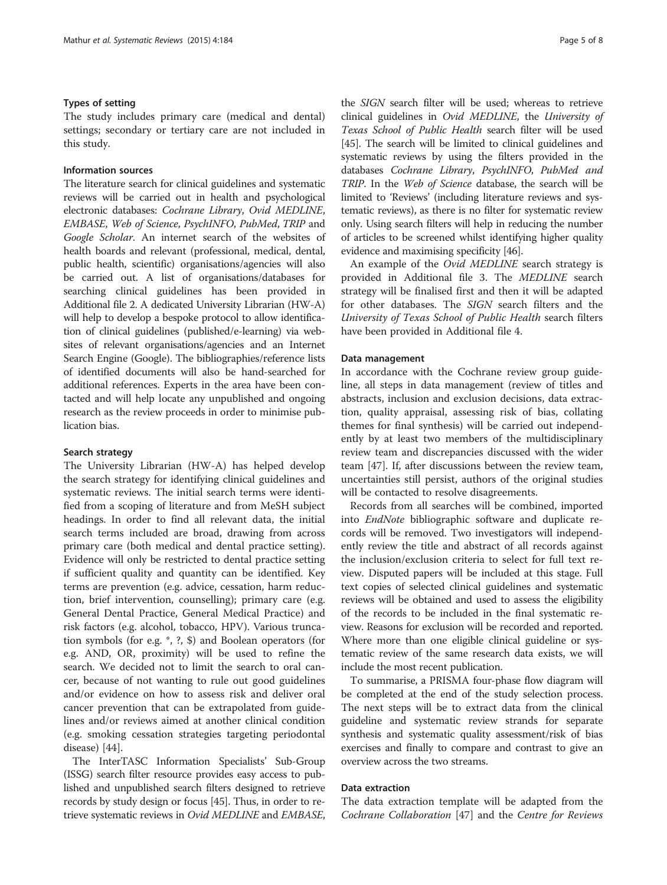#### Types of setting

The study includes primary care (medical and dental) settings; secondary or tertiary care are not included in this study.

#### Information sources

The literature search for clinical guidelines and systematic reviews will be carried out in health and psychological electronic databases: Cochrane Library, Ovid MEDLINE, EMBASE, Web of Science, PsychINFO, PubMed, TRIP and Google Scholar. An internet search of the websites of health boards and relevant (professional, medical, dental, public health, scientific) organisations/agencies will also be carried out. A list of organisations/databases for searching clinical guidelines has been provided in Additional file [2](#page-6-0). A dedicated University Librarian (HW-A) will help to develop a bespoke protocol to allow identification of clinical guidelines (published/e-learning) via websites of relevant organisations/agencies and an Internet Search Engine (Google). The bibliographies/reference lists of identified documents will also be hand-searched for additional references. Experts in the area have been contacted and will help locate any unpublished and ongoing research as the review proceeds in order to minimise publication bias.

#### Search strategy

The University Librarian (HW-A) has helped develop the search strategy for identifying clinical guidelines and systematic reviews. The initial search terms were identified from a scoping of literature and from MeSH subject headings. In order to find all relevant data, the initial search terms included are broad, drawing from across primary care (both medical and dental practice setting). Evidence will only be restricted to dental practice setting if sufficient quality and quantity can be identified. Key terms are prevention (e.g. advice, cessation, harm reduction, brief intervention, counselling); primary care (e.g. General Dental Practice, General Medical Practice) and risk factors (e.g. alcohol, tobacco, HPV). Various truncation symbols (for e.g. \*, ?, \$) and Boolean operators (for e.g. AND, OR, proximity) will be used to refine the search. We decided not to limit the search to oral cancer, because of not wanting to rule out good guidelines and/or evidence on how to assess risk and deliver oral cancer prevention that can be extrapolated from guidelines and/or reviews aimed at another clinical condition (e.g. smoking cessation strategies targeting periodontal disease) [[44](#page-7-0)].

The InterTASC Information Specialists' Sub-Group (ISSG) search filter resource provides easy access to published and unpublished search filters designed to retrieve records by study design or focus [\[45\]](#page-7-0). Thus, in order to retrieve systematic reviews in Ovid MEDLINE and EMBASE,

the SIGN search filter will be used; whereas to retrieve clinical guidelines in Ovid MEDLINE, the University of Texas School of Public Health search filter will be used [[45](#page-7-0)]. The search will be limited to clinical guidelines and systematic reviews by using the filters provided in the databases Cochrane Library, PsychINFO, PubMed and TRIP. In the Web of Science database, the search will be limited to 'Reviews' (including literature reviews and systematic reviews), as there is no filter for systematic review only. Using search filters will help in reducing the number of articles to be screened whilst identifying higher quality evidence and maximising specificity [[46](#page-7-0)].

An example of the Ovid MEDLINE search strategy is provided in Additional file [3](#page-6-0). The MEDLINE search strategy will be finalised first and then it will be adapted for other databases. The SIGN search filters and the University of Texas School of Public Health search filters have been provided in Additional file [4](#page-6-0).

#### Data management

In accordance with the Cochrane review group guideline, all steps in data management (review of titles and abstracts, inclusion and exclusion decisions, data extraction, quality appraisal, assessing risk of bias, collating themes for final synthesis) will be carried out independently by at least two members of the multidisciplinary review team and discrepancies discussed with the wider team [\[47](#page-7-0)]. If, after discussions between the review team, uncertainties still persist, authors of the original studies will be contacted to resolve disagreements.

Records from all searches will be combined, imported into EndNote bibliographic software and duplicate records will be removed. Two investigators will independently review the title and abstract of all records against the inclusion/exclusion criteria to select for full text review. Disputed papers will be included at this stage. Full text copies of selected clinical guidelines and systematic reviews will be obtained and used to assess the eligibility of the records to be included in the final systematic review. Reasons for exclusion will be recorded and reported. Where more than one eligible clinical guideline or systematic review of the same research data exists, we will include the most recent publication.

To summarise, a PRISMA four-phase flow diagram will be completed at the end of the study selection process. The next steps will be to extract data from the clinical guideline and systematic review strands for separate synthesis and systematic quality assessment/risk of bias exercises and finally to compare and contrast to give an overview across the two streams.

## Data extraction

The data extraction template will be adapted from the Cochrane Collaboration [[47\]](#page-7-0) and the Centre for Reviews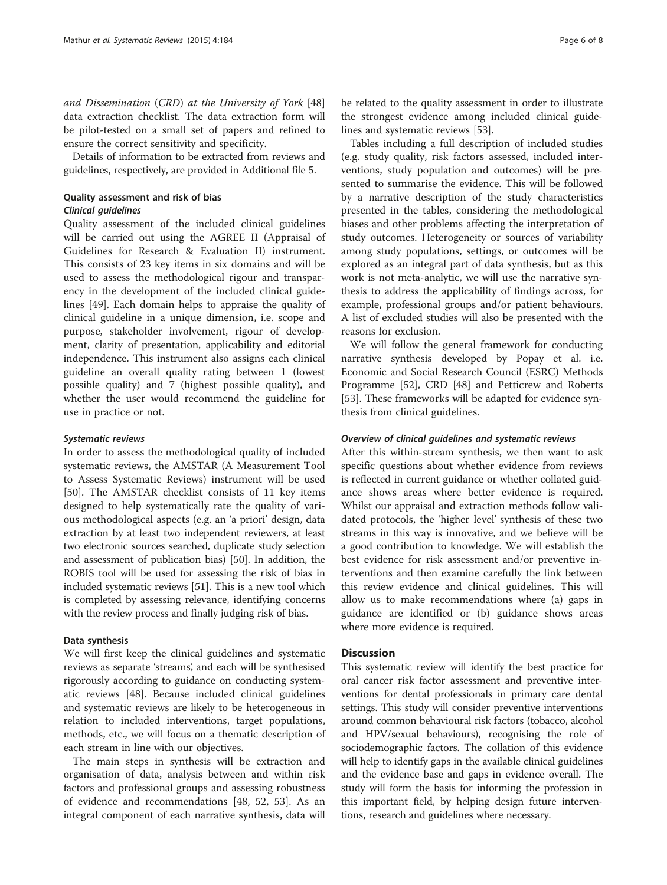and Dissemination (CRD) at the University of York [[48](#page-7-0)] data extraction checklist. The data extraction form will be pilot-tested on a small set of papers and refined to ensure the correct sensitivity and specificity.

Details of information to be extracted from reviews and guidelines, respectively, are provided in Additional file [5](#page-6-0).

# Quality assessment and risk of bias

## Clinical guidelines

Quality assessment of the included clinical guidelines will be carried out using the AGREE II (Appraisal of Guidelines for Research & Evaluation II) instrument. This consists of 23 key items in six domains and will be used to assess the methodological rigour and transparency in the development of the included clinical guidelines [\[49](#page-7-0)]. Each domain helps to appraise the quality of clinical guideline in a unique dimension, i.e. scope and purpose, stakeholder involvement, rigour of development, clarity of presentation, applicability and editorial independence. This instrument also assigns each clinical guideline an overall quality rating between 1 (lowest possible quality) and 7 (highest possible quality), and whether the user would recommend the guideline for use in practice or not.

#### Systematic reviews

In order to assess the methodological quality of included systematic reviews, the AMSTAR (A Measurement Tool to Assess Systematic Reviews) instrument will be used [[50\]](#page-7-0). The AMSTAR checklist consists of 11 key items designed to help systematically rate the quality of various methodological aspects (e.g. an 'a priori' design, data extraction by at least two independent reviewers, at least two electronic sources searched, duplicate study selection and assessment of publication bias) [[50](#page-7-0)]. In addition, the ROBIS tool will be used for assessing the risk of bias in included systematic reviews [[51\]](#page-7-0). This is a new tool which is completed by assessing relevance, identifying concerns with the review process and finally judging risk of bias.

# Data synthesis

We will first keep the clinical guidelines and systematic reviews as separate 'streams', and each will be synthesised rigorously according to guidance on conducting systematic reviews [[48\]](#page-7-0). Because included clinical guidelines and systematic reviews are likely to be heterogeneous in relation to included interventions, target populations, methods, etc., we will focus on a thematic description of each stream in line with our objectives.

The main steps in synthesis will be extraction and organisation of data, analysis between and within risk factors and professional groups and assessing robustness of evidence and recommendations [\[48](#page-7-0), [52, 53\]](#page-7-0). As an integral component of each narrative synthesis, data will be related to the quality assessment in order to illustrate the strongest evidence among included clinical guidelines and systematic reviews [[53\]](#page-7-0).

Tables including a full description of included studies (e.g. study quality, risk factors assessed, included interventions, study population and outcomes) will be presented to summarise the evidence. This will be followed by a narrative description of the study characteristics presented in the tables, considering the methodological biases and other problems affecting the interpretation of study outcomes. Heterogeneity or sources of variability among study populations, settings, or outcomes will be explored as an integral part of data synthesis, but as this work is not meta-analytic, we will use the narrative synthesis to address the applicability of findings across, for example, professional groups and/or patient behaviours. A list of excluded studies will also be presented with the reasons for exclusion.

We will follow the general framework for conducting narrative synthesis developed by Popay et al. i.e. Economic and Social Research Council (ESRC) Methods Programme [\[52](#page-7-0)], CRD [[48](#page-7-0)] and Petticrew and Roberts [[53\]](#page-7-0). These frameworks will be adapted for evidence synthesis from clinical guidelines.

#### Overview of clinical guidelines and systematic reviews

After this within-stream synthesis, we then want to ask specific questions about whether evidence from reviews is reflected in current guidance or whether collated guidance shows areas where better evidence is required. Whilst our appraisal and extraction methods follow validated protocols, the 'higher level' synthesis of these two streams in this way is innovative, and we believe will be a good contribution to knowledge. We will establish the best evidence for risk assessment and/or preventive interventions and then examine carefully the link between this review evidence and clinical guidelines. This will allow us to make recommendations where (a) gaps in guidance are identified or (b) guidance shows areas where more evidence is required.

# **Discussion**

This systematic review will identify the best practice for oral cancer risk factor assessment and preventive interventions for dental professionals in primary care dental settings. This study will consider preventive interventions around common behavioural risk factors (tobacco, alcohol and HPV/sexual behaviours), recognising the role of sociodemographic factors. The collation of this evidence will help to identify gaps in the available clinical guidelines and the evidence base and gaps in evidence overall. The study will form the basis for informing the profession in this important field, by helping design future interventions, research and guidelines where necessary.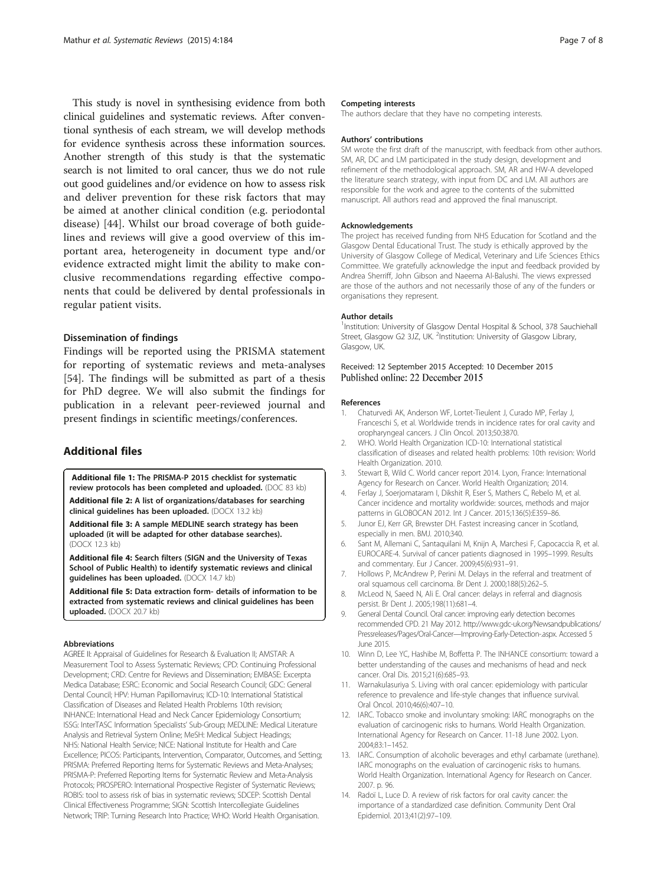<span id="page-6-0"></span>This study is novel in synthesising evidence from both clinical guidelines and systematic reviews. After conventional synthesis of each stream, we will develop methods for evidence synthesis across these information sources. Another strength of this study is that the systematic search is not limited to oral cancer, thus we do not rule out good guidelines and/or evidence on how to assess risk and deliver prevention for these risk factors that may be aimed at another clinical condition (e.g. periodontal disease) [[44\]](#page-7-0). Whilst our broad coverage of both guidelines and reviews will give a good overview of this important area, heterogeneity in document type and/or evidence extracted might limit the ability to make conclusive recommendations regarding effective components that could be delivered by dental professionals in regular patient visits.

#### Dissemination of findings

Findings will be reported using the PRISMA statement for reporting of systematic reviews and meta-analyses [[54\]](#page-7-0). The findings will be submitted as part of a thesis for PhD degree. We will also submit the findings for publication in a relevant peer-reviewed journal and present findings in scientific meetings/conferences.

# Additional files

[Additional file 1:](dx.doi.org/10.1186/s13643-015-0169-1) The PRISMA-P 2015 checklist for systematic review protocols has been completed and uploaded. (DOC 83 kb) [Additional file 2:](dx.doi.org/10.1186/s13643-015-0169-1) A list of organizations/databases for searching

clinical guidelines has been uploaded. (DOCX 13.2 kb)

[Additional file 3:](dx.doi.org/10.1186/s13643-015-0169-1) A sample MEDLINE search strategy has been uploaded (it will be adapted for other database searches). (DOCX 12.3 kb)

[Additional file 4:](dx.doi.org/10.1186/s13643-015-0169-1) Search filters (SIGN and the University of Texas School of Public Health) to identify systematic reviews and clinical guidelines has been uploaded. (DOCX 14.7 kb)

[Additional file 5:](dx.doi.org/10.1186/s13643-015-0169-1) Data extraction form- details of information to be extracted from systematic reviews and clinical guidelines has been uploaded. (DOCX 20.7 kb)

#### Abbreviations

AGREE II: Appraisal of Guidelines for Research & Evaluation II; AMSTAR: A Measurement Tool to Assess Systematic Reviews; CPD: Continuing Professional Development; CRD: Centre for Reviews and Dissemination; EMBASE: Excerpta Medica Database; ESRC: Economic and Social Research Council; GDC: General Dental Council; HPV: Human Papillomavirus; ICD-10: International Statistical Classification of Diseases and Related Health Problems 10th revision; INHANCE: International Head and Neck Cancer Epidemiology Consortium; ISSG: InterTASC Information Specialists' Sub-Group; MEDLINE: Medical Literature Analysis and Retrieval System Online; MeSH: Medical Subject Headings; NHS: National Health Service; NICE: National Institute for Health and Care Excellence; PICOS: Participants, Intervention, Comparator, Outcomes, and Setting; PRISMA: Preferred Reporting Items for Systematic Reviews and Meta-Analyses; PRISMA-P: Preferred Reporting Items for Systematic Review and Meta-Analysis Protocols; PROSPERO: International Prospective Register of Systematic Reviews; ROBIS: tool to assess risk of bias in systematic reviews; SDCEP: Scottish Dental Clinical Effectiveness Programme; SIGN: Scottish Intercollegiate Guidelines Network; TRIP: Turning Research Into Practice; WHO: World Health Organisation.

#### Competing interests

The authors declare that they have no competing interests.

#### Authors' contributions

SM wrote the first draft of the manuscript, with feedback from other authors. SM, AR, DC and LM participated in the study design, development and refinement of the methodological approach. SM, AR and HW-A developed the literature search strategy, with input from DC and LM. All authors are responsible for the work and agree to the contents of the submitted manuscript. All authors read and approved the final manuscript.

#### Acknowledgements

The project has received funding from NHS Education for Scotland and the Glasgow Dental Educational Trust. The study is ethically approved by the University of Glasgow College of Medical, Veterinary and Life Sciences Ethics Committee. We gratefully acknowledge the input and feedback provided by Andrea Sherriff, John Gibson and Naeema Al-Balushi. The views expressed are those of the authors and not necessarily those of any of the funders or organisations they represent.

#### Author details

<sup>1</sup>Institution: University of Glasgow Dental Hospital & School, 378 Sauchiehall Street, Glasgow G2 3JZ, UK. <sup>2</sup>Institution: University of Glasgow Library, Glasgow, UK.

Received: 12 September 2015 Accepted: 10 December 2015

#### References

- 1. Chaturvedi AK, Anderson WF, Lortet-Tieulent J, Curado MP, Ferlay J, Franceschi S, et al. Worldwide trends in incidence rates for oral cavity and oropharyngeal cancers. J Clin Oncol. 2013;50:3870.
- 2. WHO. World Health Organization ICD-10: International statistical classification of diseases and related health problems: 10th revision: World Health Organization. 2010.
- 3. Stewart B, Wild C. World cancer report 2014. Lyon, France: International Agency for Research on Cancer. World Health Organization; 2014.
- 4. Ferlay J, Soerjomataram I, Dikshit R, Eser S, Mathers C, Rebelo M, et al. Cancer incidence and mortality worldwide: sources, methods and major patterns in GLOBOCAN 2012. Int J Cancer. 2015;136(5):E359–86.
- 5. Junor EJ, Kerr GR, Brewster DH. Fastest increasing cancer in Scotland, especially in men. BMJ. 2010;340.
- 6. Sant M, Allemani C, Santaquilani M, Knijn A, Marchesi F, Capocaccia R, et al. EUROCARE-4. Survival of cancer patients diagnosed in 1995–1999. Results and commentary. Eur J Cancer. 2009;45(6):931–91.
- 7. Hollows P, McAndrew P, Perini M. Delays in the referral and treatment of oral squamous cell carcinoma. Br Dent J. 2000;188(5):262–5.
- 8. McLeod N, Saeed N, Ali E. Oral cancer: delays in referral and diagnosis persist. Br Dent J. 2005;198(11):681–4.
- 9. General Dental Council. Oral cancer: improving early detection becomes recommended CPD. 21 May 2012. [http://www.gdc-uk.org/Newsandpublications/](http://www.gdc-uk.org/Newsandpublications/Pressreleases/Pages/Oral-Cancer-%2D-Improving-Early-Detection-.aspx) [Pressreleases/Pages/Oral-Cancer](http://www.gdc-uk.org/Newsandpublications/Pressreleases/Pages/Oral-Cancer-%2D-Improving-Early-Detection-.aspx)—Improving-Early-Detection-.aspx. Accessed 5 June 2015.
- 10. Winn D, Lee YC, Hashibe M, Boffetta P. The INHANCE consortium: toward a better understanding of the causes and mechanisms of head and neck cancer. Oral Dis. 2015;21(6):685–93.
- 11. Warnakulasuriya S. Living with oral cancer: epidemiology with particular reference to prevalence and life-style changes that influence survival. Oral Oncol. 2010;46(6):407–10.
- 12. IARC. Tobacco smoke and involuntary smoking: IARC monographs on the evaluation of carcinogenic risks to humans. World Health Organization. International Agency for Research on Cancer. 11-18 June 2002. Lyon. 2004;83:1–1452.
- 13. IARC. Consumption of alcoholic beverages and ethyl carbamate (urethane). IARC monographs on the evaluation of carcinogenic risks to humans. World Health Organization. International Agency for Research on Cancer. 2007. p. 96.
- 14. Radoï L, Luce D. A review of risk factors for oral cavity cancer: the importance of a standardized case definition. Community Dent Oral Epidemiol. 2013;41(2):97–109.